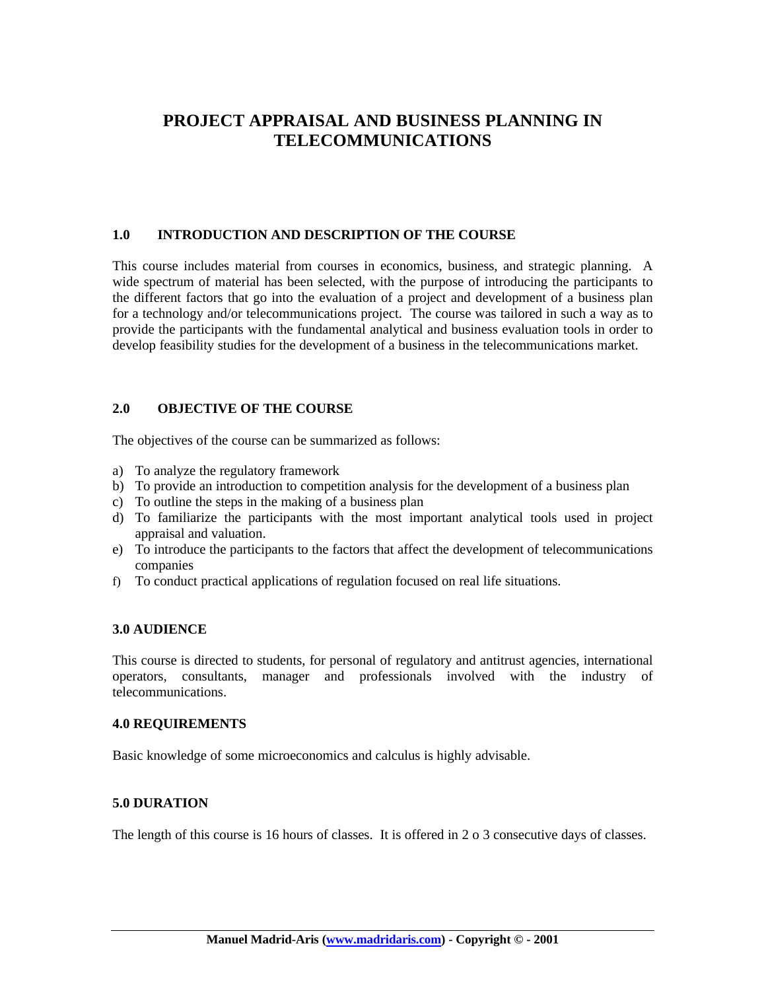## **PROJECT APPRAISAL AND BUSINESS PLANNING IN TELECOMMUNICATIONS**

#### **1.0 INTRODUCTION AND DESCRIPTION OF THE COURSE**

This course includes material from courses in economics, business, and strategic planning. A wide spectrum of material has been selected, with the purpose of introducing the participants to the different factors that go into the evaluation of a project and development of a business plan for a technology and/or telecommunications project. The course was tailored in such a way as to provide the participants with the fundamental analytical and business evaluation tools in order to develop feasibility studies for the development of a business in the telecommunications market.

#### **2.0 OBJECTIVE OF THE COURSE**

The objectives of the course can be summarized as follows:

- a) To analyze the regulatory framework
- b) To provide an introduction to competition analysis for the development of a business plan
- c) To outline the steps in the making of a business plan
- d) To familiarize the participants with the most important analytical tools used in project appraisal and valuation.
- e) To introduce the participants to the factors that affect the development of telecommunications companies
- f) To conduct practical applications of regulation focused on real life situations.

#### **3.0 AUDIENCE**

This course is directed to students, for personal of regulatory and antitrust agencies, international operators, consultants, manager and professionals involved with the industry of telecommunications.

#### **4.0 REQUIREMENTS**

Basic knowledge of some microeconomics and calculus is highly advisable.

#### **5.0 DURATION**

The length of this course is 16 hours of classes. It is offered in 2 o 3 consecutive days of classes.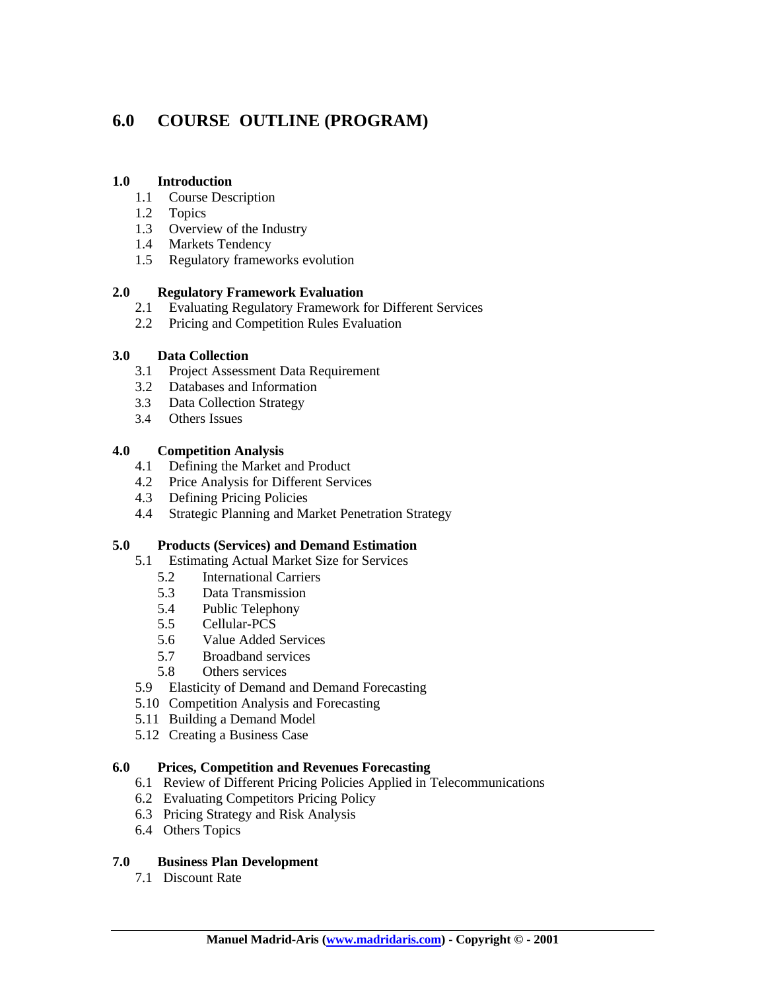# **6.0 COURSE OUTLINE (PROGRAM)**

#### **1.0 Introduction**

- 1.1 Course Description
- 1.2 Topics
- 1.3 Overview of the Industry
- 1.4 Markets Tendency
- 1.5 Regulatory frameworks evolution

#### **2.0 Regulatory Framework Evaluation**

- 2.1 Evaluating Regulatory Framework for Different Services
- 2.2 Pricing and Competition Rules Evaluation

#### **3.0 Data Collection**

- 3.1 Project Assessment Data Requirement
- 3.2 Databases and Information
- 3.3 Data Collection Strategy
- 3.4 Others Issues

#### **4.0 Competition Analysis**

- 4.1 Defining the Market and Product
- 4.2 Price Analysis for Different Services
- 4.3 Defining Pricing Policies
- 4.4 Strategic Planning and Market Penetration Strategy

### **5.0 Products (Services) and Demand Estimation**

- 5.1 Estimating Actual Market Size for Services
	- 5.2 International Carriers
	- 5.3 Data Transmission
	- 5.4 Public Telephony
	- 5.5 Cellular-PCS
	- 5.6 Value Added Services
	- 5.7 Broadband services
	- 5.8 Others services
- 5.9 Elasticity of Demand and Demand Forecasting
- 5.10 Competition Analysis and Forecasting
- 5.11 Building a Demand Model
- 5.12 Creating a Business Case

#### **6.0 Prices, Competition and Revenues Forecasting**

- 6.1 Review of Different Pricing Policies Applied in Telecommunications
- 6.2 Evaluating Competitors Pricing Policy
- 6.3 Pricing Strategy and Risk Analysis
- 6.4 Others Topics

### **7.0 Business Plan Development**

7.1 Discount Rate